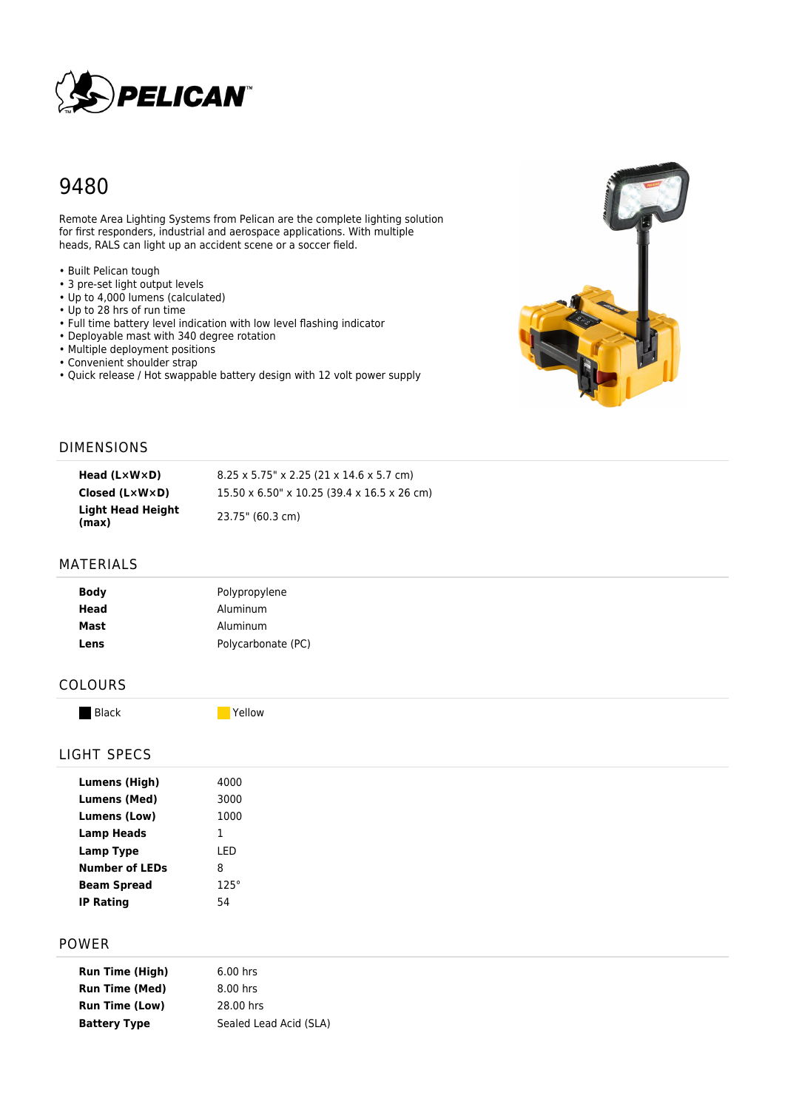

# 9480

Remote Area Lighting Systems from Pelican are the complete lighting solution for first responders, industrial and aerospace applications. With multiple heads, RALS can light up an accident scene or a soccer field.

- Built Pelican tough
- 3 pre-set light output levels
- Up to 4,000 lumens (calculated)
- Up to 28 hrs of run time
- Full time battery level indication with low level flashing indicator
- Deployable mast with 340 degree rotation
- Multiple deployment positions
- Convenient shoulder strap
- Quick release / Hot swappable battery design with 12 volt power supply



#### DIMENSIONS

| Head (L×W×D)               | $8.25 \times 5.75$ " x 2.25 (21 x 14.6 x 5.7 cm) |
|----------------------------|--------------------------------------------------|
| Closed (L×W×D)             | 15.50 x 6.50" x 10.25 (39.4 x 16.5 x 26 cm)      |
| Light Head Height<br>(max) | 23.75" (60.3 cm)                                 |

## MATERIALS

| <b>Body</b><br><b>Head</b> | Polypropylene<br>Aluminum |
|----------------------------|---------------------------|
| Mast                       | Aluminum                  |
| Lens                       | Polycarbonate (PC)        |
|                            |                           |

# COLOURS

Black and Tellow

## LIGHT SPECS

| Lumens (High)         | 4000        |
|-----------------------|-------------|
| <b>Lumens (Med)</b>   | 3000        |
| Lumens (Low)          | 1000        |
| <b>Lamp Heads</b>     |             |
| Lamp Type             | LED         |
| <b>Number of LEDs</b> | 8           |
| <b>Beam Spread</b>    | $125^\circ$ |
| <b>IP Rating</b>      | 54          |
|                       |             |

## POWER

| <b>Run Time (High)</b> | $6.00$ hrs             |
|------------------------|------------------------|
| <b>Run Time (Med)</b>  | $8.00$ hrs             |
| <b>Run Time (Low)</b>  | 28.00 hrs              |
| <b>Battery Type</b>    | Sealed Lead Acid (SLA) |